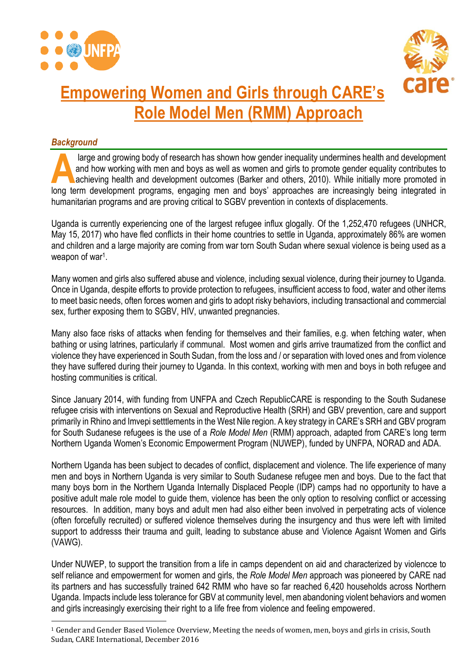



# **Empowering Women and Girls through CARE's Role Model Men (RMM) Approach**

## *Background*

 $\overline{a}$ 

large and growing body of research has shown how gender inequality undermines health and development and how working with men and boys as well as women and girls to promote gender equality contributes to achieving health and development outcomes (Barker and others, 2010). While initially more promoted in large and growing body of research has shown how gender inequality undermines health and development and how working with men and boys as well as women and girls to promote gender equality contributes to achieving health a humanitarian programs and are proving critical to SGBV prevention in contexts of displacements.

Uganda is currently experiencing one of the largest refugee influx glogally. Of the 1,252,470 refugees (UNHCR, May 15, 2017) who have fled conflicts in their home countries to settle in Uganda, approximately 86% are women and children and a large majority are coming from war torn South Sudan where sexual violence is being used as a weapon of war<sup>1</sup>.

Many women and girls also suffered abuse and violence, including sexual violence, during their journey to Uganda. Once in Uganda, despite efforts to provide protection to refugees, insufficient access to food, water and other items to meet basic needs, often forces women and girls to adopt risky behaviors, including transactional and commercial sex, further exposing them to SGBV, HIV, unwanted pregnancies.

Many also face risks of attacks when fending for themselves and their families, e.g. when fetching water, when bathing or using latrines, particularly if communal. Most women and girls arrive traumatized from the conflict and violence they have experienced in South Sudan, from the loss and / or separation with loved ones and from violence they have suffered during their journey to Uganda. In this context, working with men and boys in both refugee and hosting communities is critical.

Since January 2014, with funding from UNFPA and Czech RepublicCARE is responding to the South Sudanese refugee crisis with interventions on Sexual and Reproductive Health (SRH) and GBV prevention, care and support primarily in Rhino and Imvepi setttlements in the West Nile region. A key strategy in CARE's SRH and GBV program for South Sudanese refugees is the use of a *Role Model Men* (RMM) approach, adapted from CARE's long term Northern Uganda Women's Economic Empowerment Program (NUWEP), funded by UNFPA, NORAD and ADA.

Northern Uganda has been subject to decades of conflict, displacement and violence. The life experience of many men and boys in Northern Uganda is very similar to South Sudanese refugee men and boys. Due to the fact that many boys born in the Northern Uganda Internally Displaced People (IDP) camps had no opportunity to have a positive adult male role model to guide them, violence has been the only option to resolving conflict or accessing resources. In addition, many boys and adult men had also either been involved in perpetrating acts of violence (often forcefully recruited) or suffered violence themselves during the insurgency and thus were left with limited support to addresss their trauma and guilt, leading to substance abuse and Violence Agaisnt Women and Girls (VAWG).

Under NUWEP, to support the transition from a life in camps dependent on aid and characterized by violencce to self reliance and empowerment for women and girls, the *Role Model Men* approach was pioneered by CARE nad its partners and has successfully trained 642 RMM who have so far reached 6,420 households across Northern Uganda. Impacts include less tolerance for GBV at community level, men abandoning violent behaviors and women and girls increasingly exercising their right to a life free from violence and feeling empowered.

<sup>1</sup> Gender and Gender Based Violence Overview, Meeting the needs of women, men, boys and girls in crisis, South Sudan, CARE International, December 2016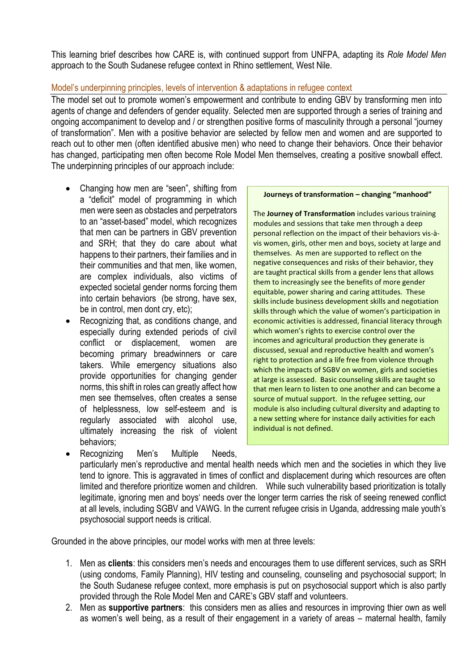This learning brief describes how CARE is, with continued support from UNFPA, adapting its *Role Model Men* approach to the South Sudanese refugee context in Rhino settlement, West Nile.

## Model's underpinning principles, levels of intervention & adaptations in refugee context

The model set out to promote women's empowerment and contribute to ending GBV by transforming men into agents of change and defenders of gender equality. Selected men are supported through a series of training and ongoing accompaniment to develop and / or strengthen positive forms of masculinity through a personal "journey of transformation". Men with a positive behavior are selected by fellow men and women and are supported to reach out to other men (often identified abusive men) who need to change their behaviors. Once their behavior has changed, participating men often become Role Model Men themselves, creating a positive snowball effect. The underpinning principles of our approach include:

- Changing how men are "seen", shifting from a "deficit" model of programming in which men were seen as obstacles and perpetrators to an "asset-based" model, which recognizes that men can be partners in GBV prevention and SRH; that they do care about what happens to their partners, their families and in their communities and that men, like women, are complex individuals, also victims of expected societal gender norms forcing them into certain behaviors (be strong, have sex, be in control, men dont cry, etc);
- Recognizing that, as conditions change, and especially during extended periods of civil conflict or displacement, women are becoming primary breadwinners or care takers. While emergency situations also provide opportunities for changing gender norms, this shift in roles can greatly affect how men see themselves, often creates a sense of helplessness, low self-esteem and is regularly associated with alcohol use, ultimately increasing the risk of violent behaviors;

**Journeys of transformation – changing "manhood"**

The **Journey of Transformation** includes various training modules and sessions that take men through a deep personal reflection on the impact of their behaviors vis-àvis women, girls, other men and boys, society at large and themselves. As men are supported to reflect on the negative consequences and risks of their behavior, they are taught practical skills from a gender lens that allows them to increasingly see the benefits of more gender equitable, power sharing and caring attitudes. These skills include business development skills and negotiation skills through which the value of women's participation in economic activities is addressed, financial literacy through which women's rights to exercise control over the incomes and agricultural production they generate is discussed, sexual and reproductive health and women's right to protection and a life free from violence through which the impacts of SGBV on women, girls and societies at large is assessed. Basic counseling skills are taught so that men learn to listen to one another and can become a source of mutual support. In the refugee setting, our module is also including cultural diversity and adapting to a new setting where for instance daily activities for each individual is not defined.

 Recognizing Men's Multiple Needs, particularly men's reproductive and mental health needs which men and the societies in which they live tend to ignore. This is aggravated in times of conflict and displacement during which resources are often limited and therefore prioritize women and children. While such vulnerability based prioritization is totally legitimate, ignoring men and boys' needs over the longer term carries the risk of seeing renewed conflict at all levels, including SGBV and VAWG. In the current refugee crisis in Uganda, addressing male youth's psychosocial support needs is critical.

Grounded in the above principles, our model works with men at three levels:

- 1. Men as **clients**: this considers men's needs and encourages them to use different services, such as SRH (using condoms, Family Planning), HIV testing and counseling, counseling and psychosocial support; In the South Sudanese refugee context, more emphasis is put on psychosocial support which is also partly provided through the Role Model Men and CARE's GBV staff and volunteers.
- 2. Men as **supportive partners**: this considers men as allies and resources in improving thier own as well as women's well being, as a result of their engagement in a variety of areas – maternal health, family